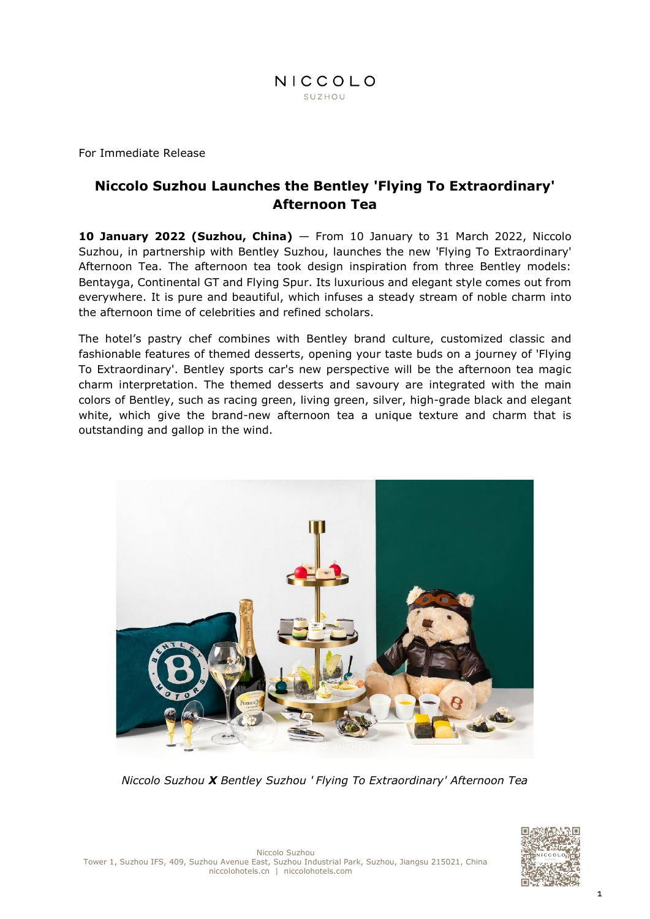

For Immediate Release

# **Niccolo Suzhou Launches the Bentley 'Flying To Extraordinary' Afternoon Tea**

**10 January 2022 (Suzhou, China)** — From 10 January to 31 March 2022, Niccolo Suzhou, in partnership with Bentley Suzhou, launches the new 'Flying To Extraordinary' Afternoon Tea. The afternoon tea took design inspiration from three Bentley models: Bentayga, Continental GT and Flying Spur. Its luxurious and elegant style comes out from everywhere. It is pure and beautiful, which infuses a steady stream of noble charm into the afternoon time of celebrities and refined scholars.

The hotel's pastry chef combines with Bentley brand culture, customized classic and fashionable features of themed desserts, opening your taste buds on a journey of 'Flying To Extraordinary'. Bentley sports car's new perspective will be the afternoon tea magic charm interpretation. The themed desserts and savoury are integrated with the main colors of Bentley, such as racing green, living green, silver, high-grade black and elegant white, which give the brand-new afternoon tea a unique texture and charm that is outstanding and gallop in the wind.



*Niccolo Suzhou X Bentley Suzhou ' Flying To Extraordinary' Afternoon Tea*

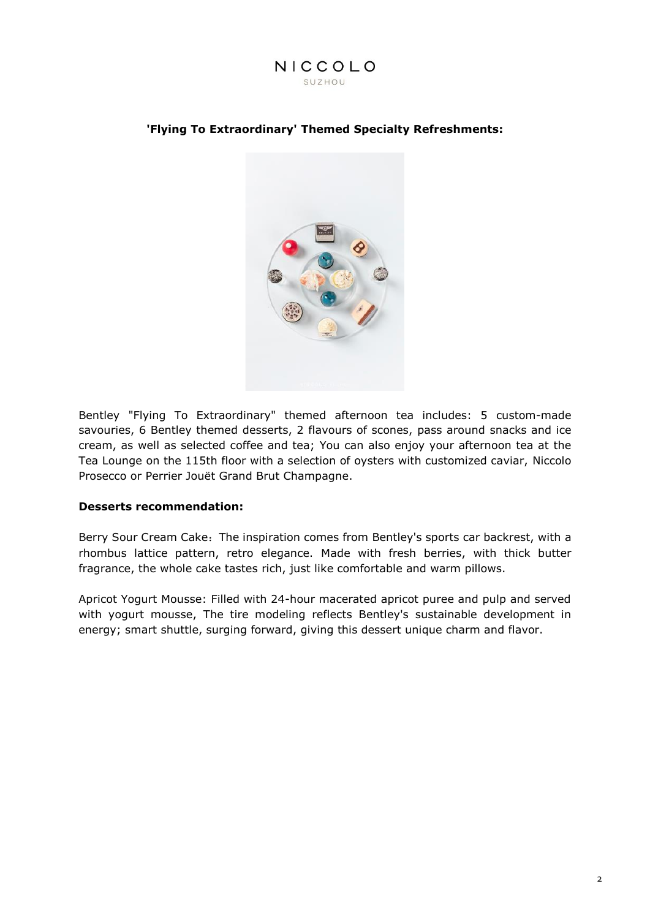

#### **'Flying To Extraordinary' Themed Specialty Refreshments:**



Bentley "Flying To Extraordinary" themed afternoon tea includes: 5 custom-made savouries, 6 Bentley themed desserts, 2 flavours of scones, pass around snacks and ice cream, as well as selected coffee and tea; You can also enjoy your afternoon tea at the Tea Lounge on the 115th floor with a selection of oysters with customized caviar, Niccolo Prosecco or Perrier Jouët Grand Brut Champagne.

#### **Desserts recommendation:**

Berry Sour Cream Cake: The inspiration comes from Bentley's sports car backrest, with a rhombus lattice pattern, retro elegance. Made with fresh berries, with thick butter fragrance, the whole cake tastes rich, just like comfortable and warm pillows.

Apricot Yogurt Mousse: Filled with 24-hour macerated apricot puree and pulp and served with yogurt mousse, The tire modeling reflects Bentley's sustainable development in energy; smart shuttle, surging forward, giving this dessert unique charm and flavor.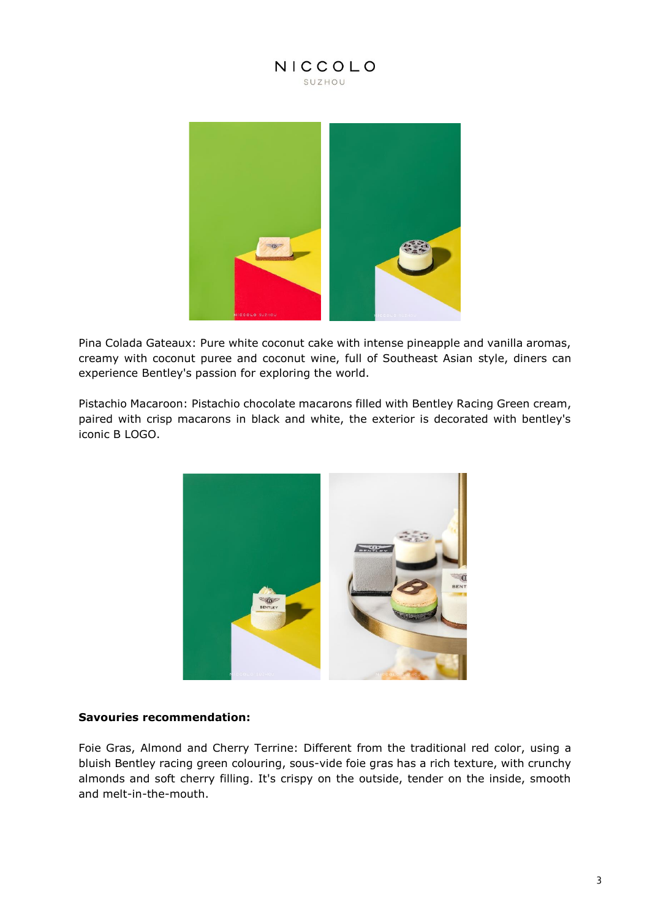

Pina Colada Gateaux: Pure white coconut cake with intense pineapple and vanilla aromas, creamy with coconut puree and coconut wine, full of Southeast Asian style, diners can experience Bentley's passion for exploring the world.

Pistachio Macaroon: Pistachio chocolate macarons filled with Bentley Racing Green cream, paired with crisp macarons in black and white, the exterior is decorated with bentley's iconic B LOGO.



#### **Savouries recommendation:**

Foie Gras, Almond and Cherry Terrine: Different from the traditional red color, using a bluish Bentley racing green colouring, sous-vide foie gras has a rich texture, with crunchy almonds and soft cherry filling. It's crispy on the outside, tender on the inside, smooth and melt-in-the-mouth.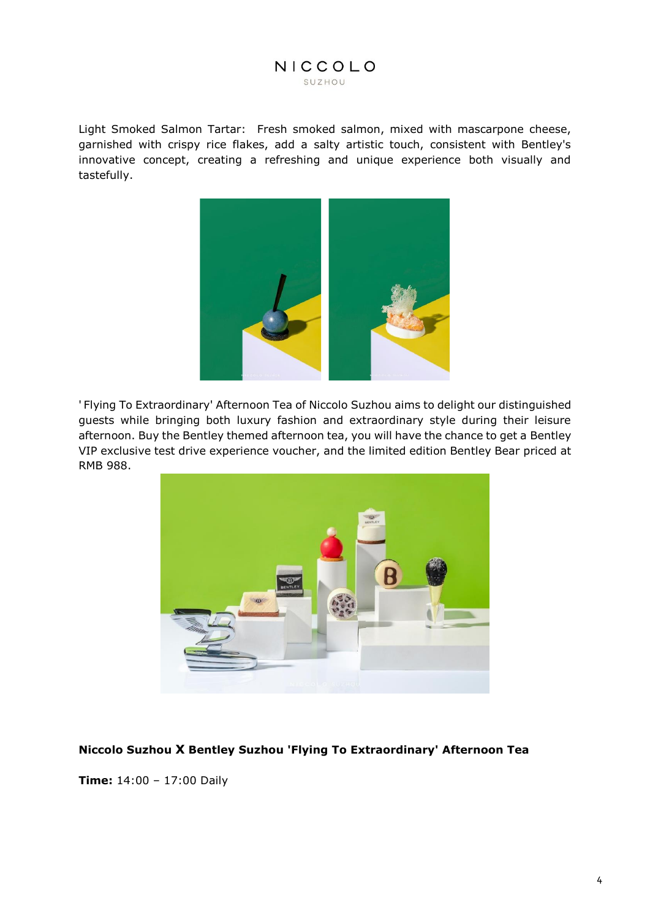Light Smoked Salmon Tartar: Fresh smoked salmon, mixed with mascarpone cheese, garnished with crispy rice flakes, add a salty artistic touch, consistent with Bentley's innovative concept, creating a refreshing and unique experience both visually and tastefully.



' Flying To Extraordinary' Afternoon Tea of Niccolo Suzhou aims to delight our distinguished guests while bringing both luxury fashion and extraordinary style during their leisure afternoon. Buy the Bentley themed afternoon tea, you will have the chance to get a Bentley VIP exclusive test drive experience voucher, and the limited edition Bentley Bear priced at RMB 988.



## **Niccolo Suzhou X Bentley Suzhou 'Flying To Extraordinary' Afternoon Tea**

**Time:** 14:00 – 17:00 Daily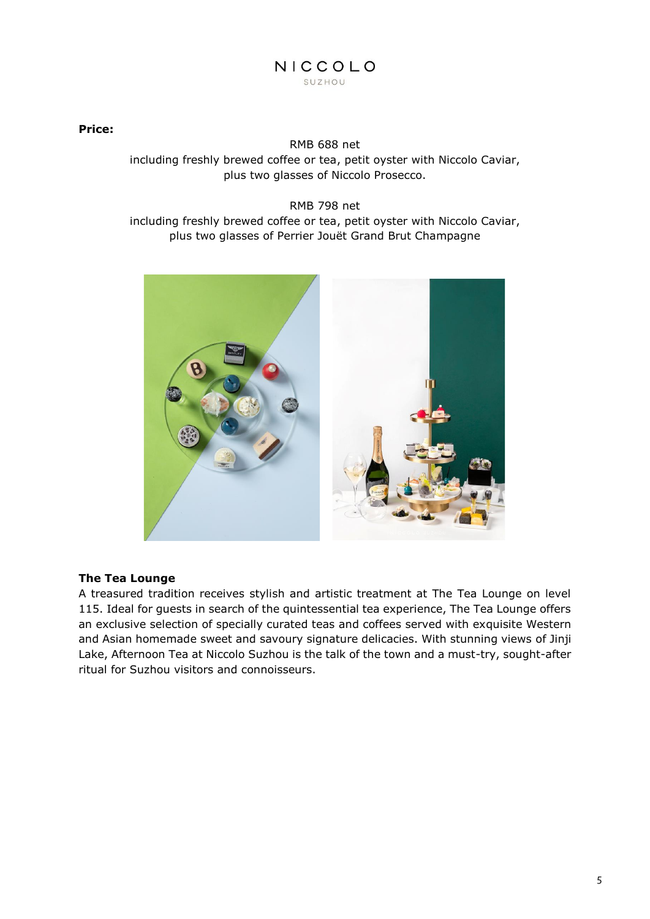#### **Price:**

RMB 688 net including freshly brewed coffee or tea, petit oyster with Niccolo Caviar, plus two glasses of Niccolo Prosecco.

RMB 798 net including freshly brewed coffee or tea, petit oyster with Niccolo Caviar, plus two glasses of Perrier Jouët Grand Brut Champagne



## **The Tea Lounge**

A treasured tradition receives stylish and artistic treatment at The Tea Lounge on level 115. Ideal for guests in search of the quintessential tea experience, The Tea Lounge offers an exclusive selection of specially curated teas and coffees served with exquisite Western and Asian homemade sweet and savoury signature delicacies. With stunning views of Jinji Lake, Afternoon Tea at Niccolo Suzhou is the talk of the town and a must-try, sought-after ritual for Suzhou visitors and connoisseurs.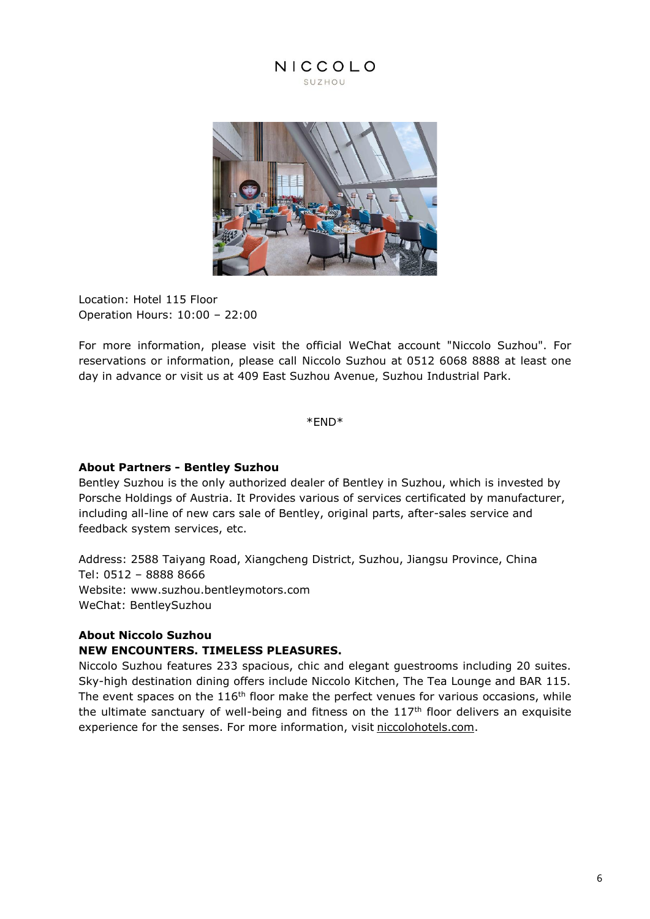

Location: Hotel 115 Floor Operation Hours: 10:00 – 22:00

For more information, please visit the official WeChat account "Niccolo Suzhou". For reservations or information, please call Niccolo Suzhou at 0512 6068 8888 at least one day in advance or visit us at 409 East Suzhou Avenue, Suzhou Industrial Park.

\*END\*

## **About Partners - Bentley Suzhou**

Bentley Suzhou is the only authorized dealer of Bentley in Suzhou, which is invested by Porsche Holdings of Austria. It Provides various of services certificated by manufacturer, including all-line of new cars sale of Bentley, original parts, after-sales service and feedback system services, etc.

Address: 2588 Taiyang Road, Xiangcheng District, Suzhou, Jiangsu Province, China Tel: 0512 – 8888 8666 Website: [www.suzhou.bentleymotors.com](http://www.suzhou.bentleymotors.com/) WeChat: BentleySuzhou

#### **About Niccolo Suzhou NEW ENCOUNTERS. TIMELESS PLEASURES.**

Niccolo Suzhou features 233 spacious, chic and elegant guestrooms including 20 suites. Sky-high destination dining offers include Niccolo Kitchen, The Tea Lounge and BAR 115. The event spaces on the 116<sup>th</sup> floor make the perfect venues for various occasions, while the ultimate sanctuary of well-being and fitness on the  $117<sup>th</sup>$  floor delivers an exquisite experience for the senses. For more information, visit [niccolohotels.com.](file:///I:/4%20-%20MARCOM/3.%20PR/3.%20Press%20Release/2021.4.16%20approve/Niccolo%20Suzhou%20features%20233%20spacious,%20chic%20and%20elegant%20guestrooms%20including%2020%20suites.%20Sky-high%20destination%20dining%20offers%20include%20Niccolo%20Kitchen,%20The%20Tea%20Lounge%20and%20Bar%20115.%20The%20event%20spaces%20on%20the%20116th%20floor%20make%20the%20perfect%20venues%20for%20various%20occasions,%20while%20the%20ultimate%20sanctuary%20of%20well-being%20and%20fitness%20on%20the%20117th%20floor%20delivers%20an%20exquisite%20experience%20for%20the%20senses.%20For%20further%20information,%20please%20contact%20your%20travel%20professional%20or%20visit%20niccolohotels.com.)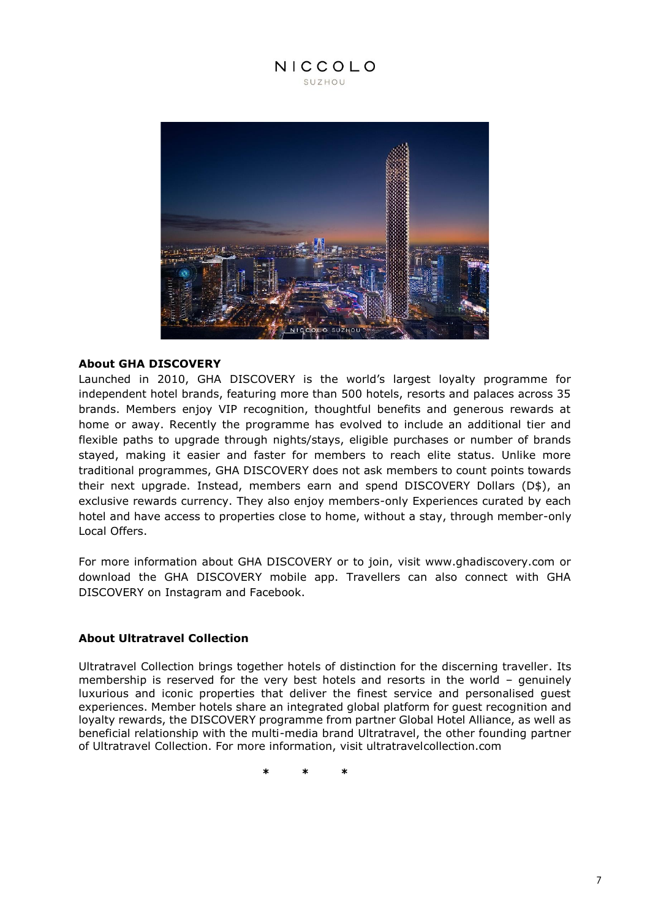

#### **About GHA DISCOVERY**

Launched in 2010, GHA DISCOVERY is the world's largest loyalty programme for independent hotel brands, featuring more than 500 hotels, resorts and palaces across 35 brands. Members enjoy VIP recognition, thoughtful benefits and generous rewards at home or away. Recently the programme has evolved to include an additional tier and flexible paths to upgrade through nights/stays, eligible purchases or number of brands stayed, making it easier and faster for members to reach elite status. Unlike more traditional programmes, GHA DISCOVERY does not ask members to count points towards their next upgrade. Instead, members earn and spend DISCOVERY Dollars (D\$), an exclusive rewards currency. They also enjoy members-only Experiences curated by each hotel and have access to properties close to home, without a stay, through member-only Local Offers.

For more information about GHA DISCOVERY or to join, visit www.ghadiscovery.com or download the GHA DISCOVERY mobile app. Travellers can also connect with GHA DISCOVERY on Instagram and Facebook.

#### **About Ultratravel Collection**

Ultratravel Collection brings together hotels of distinction for the discerning traveller. Its membership is reserved for the very best hotels and resorts in the world – genuinely luxurious and iconic properties that deliver the finest service and personalised guest experiences. Member hotels share an integrated global platform for guest recognition and loyalty rewards, the DISCOVERY programme from partner Global Hotel Alliance, as well as beneficial relationship with the multi-media brand Ultratravel, the other founding partner of Ultratravel Collection. For more information, visit ultratravelcollection.com

**\* \* \***